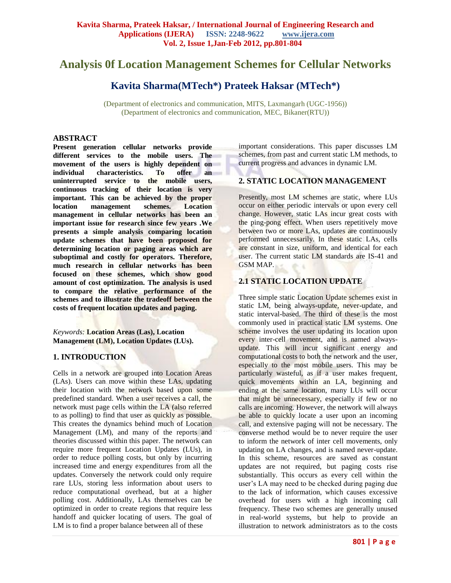# **Analysis 0f Location Management Schemes for Cellular Networks**

# **Kavita Sharma(MTech\*) Prateek Haksar (MTech\*)**

(Department of electronics and communication, MITS, Laxmangarh (UGC-1956)) (Department of electronics and communication, MEC, Bikaner(RTU))

#### **ABSTRACT**

**Present generation cellular networks provide different services to the mobile users. The movement of the users is highly dependent on individual characteristics. To offer an uninterrupted service to the mobile users, continuous tracking of their location is very important. This can be achieved by the proper location management schemes. Location management in cellular networks has been an important issue for research since few years .We presents a simple analysis comparing location update schemes that have been proposed for determining location or paging areas which are suboptimal and costly for operators. Therefore, much research in cellular networks has been focused on these schemes, which show good amount of cost optimization. The analysis is used to compare the relative performance of the schemes and to illustrate the tradeoff between the costs of frequent location updates and paging.**

*Keywords:* **Location Areas (Las), Location Management (LM), Location Updates (LUs).**

## **1. INTRODUCTION**

Cells in a network are grouped into Location Areas (LAs). Users can move within these LAs, updating their location with the network based upon some predefined standard. When a user receives a call, the network must page cells within the LA (also referred to as polling) to find that user as quickly as possible. This creates the dynamics behind much of Location Management (LM), and many of the reports and theories discussed within this paper. The network can require more frequent Location Updates (LUs), in order to reduce polling costs, but only by incurring increased time and energy expenditures from all the updates. Conversely the network could only require rare LUs, storing less information about users to reduce computational overhead, but at a higher polling cost. Additionally, LAs themselves can be optimized in order to create regions that require less handoff and quicker locating of users. The goal of LM is to find a proper balance between all of these

important considerations. This paper discusses LM schemes, from past and current static LM methods, to current progress and advances in dynamic LM.

# **2. STATIC LOCATION MANAGEMENT**

Presently, most LM schemes are static, where LUs occur on either periodic intervals or upon every cell change. However, static LAs incur great costs with the ping-pong effect. When users repetitively move between two or more LAs, updates are continuously performed unnecessarily. In these static LAs, cells are constant in size, uniform, and identical for each user. The current static LM standards are IS-41 and GSM MAP.

## **2.1 STATIC LOCATION UPDATE**

Three simple static Location Update schemes exist in static LM, being always-update, never-update, and static interval-based. The third of these is the most commonly used in practical static LM systems. One scheme involves the user updating its location upon every inter-cell movement, and is named alwaysupdate. This will incur significant energy and computational costs to both the network and the user, especially to the most mobile users. This may be particularly wasteful, as if a user makes frequent, quick movements within an LA, beginning and ending at the same location, many LUs will occur that might be unnecessary, especially if few or no calls are incoming. However, the network will always be able to quickly locate a user upon an incoming call, and extensive paging will not be necessary. The converse method would be to never require the user to inform the network of inter cell movements, only updating on LA changes, and is named never-update. In this scheme, resources are saved as constant updates are not required, but paging costs rise substantially. This occurs as every cell within the user's LA may need to be checked during paging due to the lack of information, which causes excessive overhead for users with a high incoming call frequency. These two schemes are generally unused in real-world systems, but help to provide an illustration to network administrators as to the costs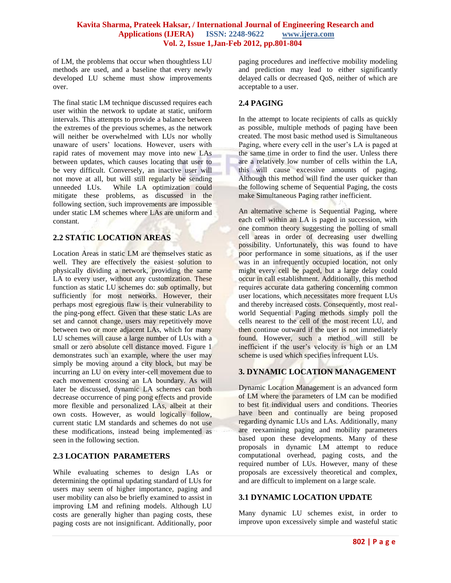#### **Kavita Sharma, Prateek Haksar, / International Journal of Engineering Research and Applications (IJERA) ISSN: 2248-9622 www.ijera.com Vol. 2, Issue 1,Jan-Feb 2012, pp.801-804**

of LM, the problems that occur when thoughtless LU methods are used, and a baseline that every newly developed LU scheme must show improvements over.

The final static LM technique discussed requires each user within the network to update at static, uniform intervals. This attempts to provide a balance between the extremes of the previous schemes, as the network will neither be overwhelmed with LUs nor wholly unaware of users' locations. However, users with rapid rates of movement may move into new LAs between updates, which causes locating that user to be very difficult. Conversely, an inactive user will not move at all, but will still regularly be sending unneeded LUs. While LA optimization could mitigate these problems, as discussed in the following section, such improvements are impossible under static LM schemes where LAs are uniform and constant.

## **2.2 STATIC LOCATION AREAS**

Location Areas in static LM are themselves static as well. They are effectively the easiest solution to physically dividing a network, providing the same LA to every user, without any customization. These function as static LU schemes do: sub optimally, but sufficiently for most networks. However, their perhaps most egregious flaw is their vulnerability to the ping-pong effect. Given that these static LAs are set and cannot change, users may repetitively move between two or more adjacent LAs, which for many LU schemes will cause a large number of LUs with a small or zero absolute cell distance moved. Figure 1 demonstrates such an example, where the user may simply be moving around a city block, but may be incurring an LU on every inter-cell movement due to each movement crossing an LA boundary. As will later be discussed, dynamic LA schemes can both decrease occurrence of ping pong effects and provide more flexible and personalized LAs, albeit at their own costs. However, as would logically follow, current static LM standards and schemes do not use these modifications, instead being implemented as seen in the following section.

## **2.3 LOCATION PARAMETERS**

While evaluating schemes to design LAs or determining the optimal updating standard of LUs for users may seem of higher importance, paging and user mobility can also be briefly examined to assist in improving LM and refining models. Although LU costs are generally higher than paging costs, these paging costs are not insignificant. Additionally, poor paging procedures and ineffective mobility modeling and prediction may lead to either significantly delayed calls or decreased QoS, neither of which are acceptable to a user.

## **2.4 PAGING**

In the attempt to locate recipients of calls as quickly as possible, multiple methods of paging have been created. The most basic method used is Simultaneous Paging, where every cell in the user's LA is paged at the same time in order to find the user. Unless there are a relatively low number of cells within the LA, this will cause excessive amounts of paging. Although this method will find the user quicker than the following scheme of Sequential Paging, the costs make Simultaneous Paging rather inefficient.

An alternative scheme is Sequential Paging, where each cell within an LA is paged in succession, with one common theory suggesting the polling of small cell areas in order of decreasing user dwelling possibility. Unfortunately, this was found to have poor performance in some situations, as if the user was in an infrequently occupied location, not only might every cell be paged, but a large delay could occur in call establishment. Additionally, this method requires accurate data gathering concerning common user locations, which necessitates more frequent LUs and thereby increased costs. Consequently, most realworld Sequential Paging methods simply poll the cells nearest to the cell of the most recent LU, and then continue outward if the user is not immediately found. However, such a method will still be inefficient if the user's velocity is high or an LM scheme is used which specifies infrequent LUs.

## **3. DYNAMIC LOCATION MANAGEMENT**

Dynamic Location Management is an advanced form of LM where the parameters of LM can be modified to best fit individual users and conditions. Theories have been and continually are being proposed regarding dynamic LUs and LAs. Additionally, many are reexamining paging and mobility parameters based upon these developments. Many of these proposals in dynamic LM attempt to reduce computational overhead, paging costs, and the required number of LUs. However, many of these proposals are excessively theoretical and complex, and are difficult to implement on a large scale.

## **3.1 DYNAMIC LOCATION UPDATE**

Many dynamic LU schemes exist, in order to improve upon excessively simple and wasteful static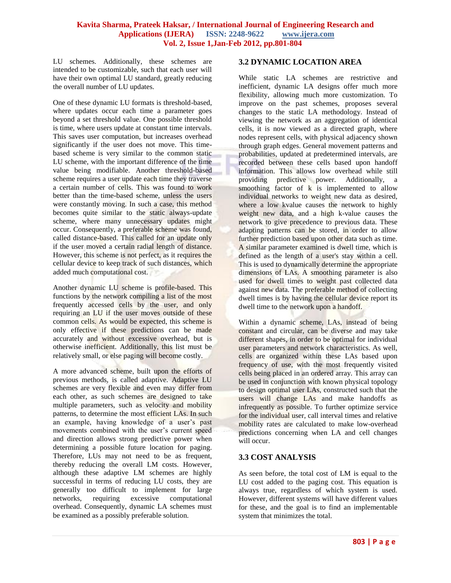#### **Kavita Sharma, Prateek Haksar, / International Journal of Engineering Research and Applications (IJERA) ISSN: 2248-9622 www.ijera.com Vol. 2, Issue 1,Jan-Feb 2012, pp.801-804**

LU schemes. Additionally, these schemes are intended to be customizable, such that each user will have their own optimal LU standard, greatly reducing the overall number of LU updates.

One of these dynamic LU formats is threshold-based, where updates occur each time a parameter goes beyond a set threshold value. One possible threshold is time, where users update at constant time intervals. This saves user computation, but increases overhead significantly if the user does not move. This timebased scheme is very similar to the common static LU scheme, with the important difference of the time value being modifiable. Another threshold-based scheme requires a user update each time they traverse a certain number of cells. This was found to work better than the time-based scheme, unless the users were constantly moving. In such a case, this method becomes quite similar to the static always-update scheme, where many unnecessary updates might occur. Consequently, a preferable scheme was found, called distance-based. This called for an update only if the user moved a certain radial length of distance. However, this scheme is not perfect, as it requires the cellular device to keep track of such distances, which added much computational cost.

Another dynamic LU scheme is profile-based. This functions by the network compiling a list of the most frequently accessed cells by the user, and only requiring an LU if the user moves outside of these common cells. As would be expected, this scheme is only effective if these predictions can be made accurately and without excessive overhead, but is otherwise inefficient. Additionally, this list must be relatively small, or else paging will become costly.

A more advanced scheme, built upon the efforts of previous methods, is called adaptive. Adaptive LU schemes are very flexible and even may differ from each other, as such schemes are designed to take multiple parameters, such as velocity and mobility patterns, to determine the most efficient LAs. In such an example, having knowledge of a user's past movements combined with the user's current speed and direction allows strong predictive power when determining a possible future location for paging. Therefore, LUs may not need to be as frequent, thereby reducing the overall LM costs. However, although these adaptive LM schemes are highly successful in terms of reducing LU costs, they are generally too difficult to implement for large networks, requiring excessive computational overhead. Consequently, dynamic LA schemes must be examined as a possibly preferable solution.

#### **3.2 DYNAMIC LOCATION AREA**

While static LA schemes are restrictive and inefficient, dynamic LA designs offer much more flexibility, allowing much more customization. To improve on the past schemes, proposes several changes to the static LA methodology. Instead of viewing the network as an aggregation of identical cells, it is now viewed as a directed graph, where nodes represent cells, with physical adjacency shown through graph edges. General movement patterns and probabilities, updated at predetermined intervals, are recorded between these cells based upon handoff information. This allows low overhead while still providing predictive power. Additionally, a smoothing factor of  $k$  is implemented to allow individual networks to weight new data as desired, where a low kvalue causes the network to highly weight new data, and a high k-value causes the network to give precedence to previous data. These adapting patterns can be stored, in order to allow further prediction based upon other data such as time. A similar parameter examined is dwell time, which is defined as the length of a user's stay within a cell. This is used to dynamically determine the appropriate dimensions of LAs. A smoothing parameter is also used for dwell times to weight past collected data against new data. The preferable method of collecting dwell times is by having the cellular device report its dwell time to the network upon a handoff.

Within a dynamic scheme, LAs, instead of being constant and circular, can be diverse and may take different shapes, in order to be optimal for individual user parameters and network characteristics. As well, cells are organized within these LAs based upon frequency of use, with the most frequently visited cells being placed in an ordered array. This array can be used in conjunction with known physical topology to design optimal user LAs, constructed such that the users will change LAs and make handoffs as infrequently as possible. To further optimize service for the individual user, call interval times and relative mobility rates are calculated to make low-overhead predictions concerning when LA and cell changes will occur.

## **3.3 COST ANALYSIS**

As seen before, the total cost of LM is equal to the LU cost added to the paging cost. This equation is always true, regardless of which system is used. However, different systems will have different values for these, and the goal is to find an implementable system that minimizes the total.